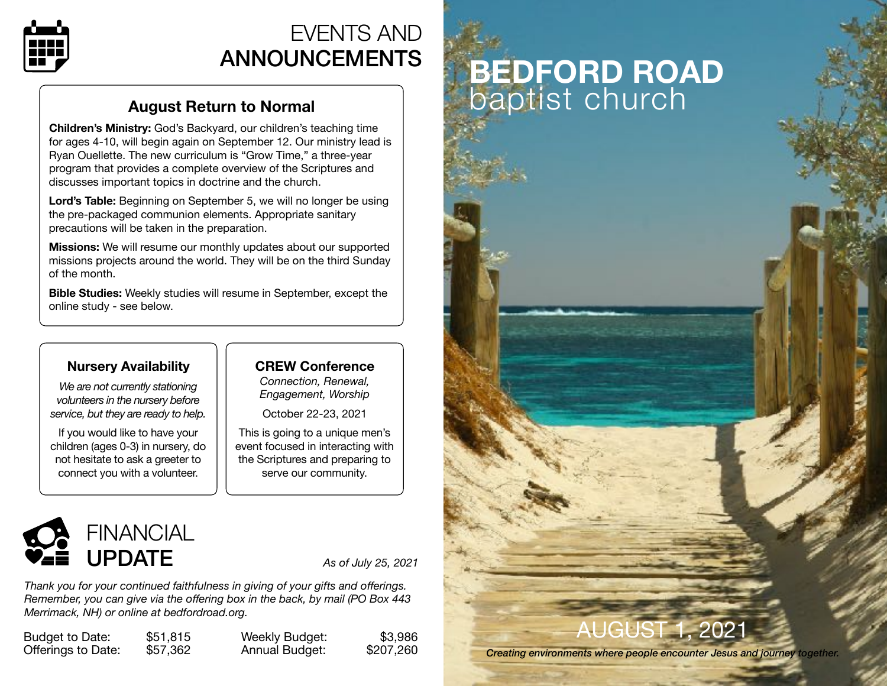

## EVENTS AND ANNOUNCEMENTS

### **August Return to Normal**

**Children's Ministry:** God's Backyard, our children's teaching time for ages 4-10, will begin again on September 12. Our ministry lead is Ryan Ouellette. The new curriculum is "Grow Time," a three-year program that provides a complete overview of the Scriptures and discusses important topics in doctrine and the church.

**Lord's Table:** Beginning on September 5, we will no longer be using the pre-packaged communion elements. Appropriate sanitary precautions will be taken in the preparation.

**Missions:** We will resume our monthly updates about our supported missions projects around the world. They will be on the third Sunday of the month.

**Bible Studies:** Weekly studies will resume in September, except the online study - see below.

### **Nursery Availability**

*We are not currently stationing volunteers in the nursery before service, but they are ready to help.* 

If you would like to have your children (ages 0-3) in nursery, do not hesitate to ask a greeter to connect you with a volunteer.

### **CREW Conference** *Connection, Renewal,*

*Engagement, Worship* 

October 22-23, 2021

This is going to a unique men's event focused in interacting with the Scriptures and preparing to serve our community.



*Thank you for your continued faithfulness in giving of your gifts and offerings. Remember, you can give via the offering box in the back, by mail (PO Box 443 Merrimack, NH) or online at [bedfordroad.org.](http://bedfordroad.org)*

Budget to Date: \$51,815 Offerings to Date: \$57,362

Weekly Budget: Annual Budget:

| \$3,986   |  |
|-----------|--|
| \$207,260 |  |

# **BEDFORD ROAD**  baptist church

# AUGUST 1, 2021

*Creating environments where people encounter Jesus and journey together.*